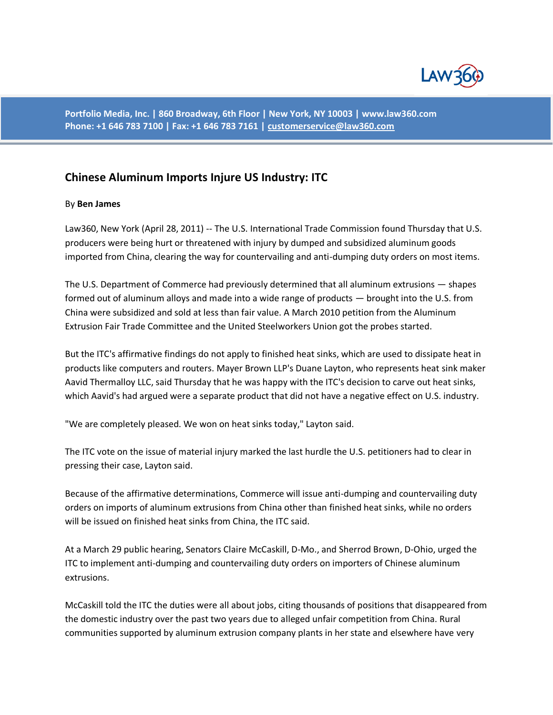

**Portfolio Media, Inc. | 860 Broadway, 6th Floor | New York, NY 10003 | www.law360.com Phone: +1 646 783 7100 | Fax: +1 646 783 7161 | [customerservice@law360.com](mailto:customerservice@law360.com)**

## **Chinese Aluminum Imports Injure US Industry: ITC**

## By **Ben James**

Law360, New York (April 28, 2011) -- The U.S. International Trade Commission found Thursday that U.S. producers were being hurt or threatened with injury by dumped and subsidized aluminum goods imported from China, clearing the way for countervailing and anti-dumping duty orders on most items.

The U.S. Department of Commerce had previously determined that all aluminum extrusions — shapes formed out of aluminum alloys and made into a wide range of products — brought into the U.S. from China were subsidized and sold at less than fair value. A March 2010 petition from the Aluminum Extrusion Fair Trade Committee and the United Steelworkers Union got the probes started.

But the ITC's affirmative findings do not apply to finished heat sinks, which are used to dissipate heat in products like computers and routers. Mayer Brown LLP's Duane Layton, who represents heat sink maker Aavid Thermalloy LLC, said Thursday that he was happy with the ITC's decision to carve out heat sinks, which Aavid's had argued were a separate product that did not have a negative effect on U.S. industry.

"We are completely pleased. We won on heat sinks today," Layton said.

The ITC vote on the issue of material injury marked the last hurdle the U.S. petitioners had to clear in pressing their case, Layton said.

Because of the affirmative determinations, Commerce will issue anti-dumping and countervailing duty orders on imports of aluminum extrusions from China other than finished heat sinks, while no orders will be issued on finished heat sinks from China, the ITC said.

At a March 29 public hearing, Senators Claire McCaskill, D-Mo., and Sherrod Brown, D-Ohio, urged the ITC to implement anti-dumping and countervailing duty orders on importers of Chinese aluminum extrusions.

McCaskill told the ITC the duties were all about jobs, citing thousands of positions that disappeared from the domestic industry over the past two years due to alleged unfair competition from China. Rural communities supported by aluminum extrusion company plants in her state and elsewhere have very